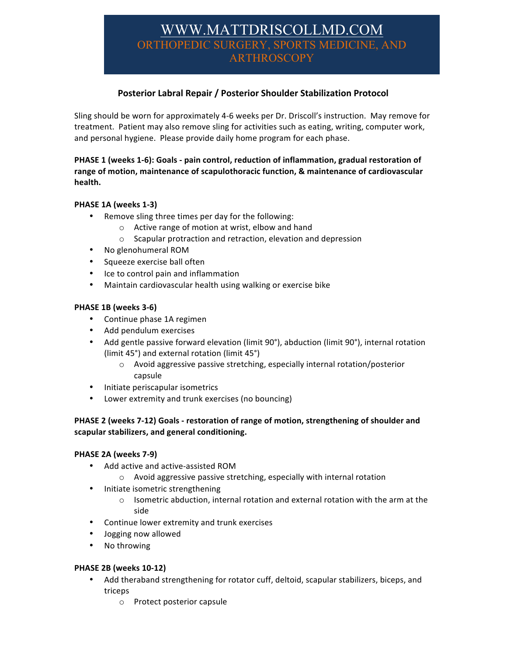# WWW.MATTDRISCOLLMD.COM ORTHOPEDIC SURGERY, SPORTS MEDICINE, AND ARTHROSCOPY

# **Posterior Labral Repair / Posterior Shoulder Stabilization Protocol**

Sling should be worn for approximately 4-6 weeks per Dr. Driscoll's instruction. May remove for treatment. Patient may also remove sling for activities such as eating, writing, computer work, and personal hygiene. Please provide daily home program for each phase.

#### PHASE 1 (weeks 1-6): Goals - pain control, reduction of inflammation, gradual restoration of range of motion, maintenance of scapulothoracic function, & maintenance of cardiovascular health.

### **PHASE 1A (weeks 1-3)**

- Remove sling three times per day for the following:
	- $\circ$  Active range of motion at wrist, elbow and hand
	- $\circ$  Scapular protraction and retraction, elevation and depression
- No glenohumeral ROM
- Squeeze exercise ball often
- Ice to control pain and inflammation
- Maintain cardiovascular health using walking or exercise bike

#### **PHASE 1B (weeks 3-6)**

- Continue phase 1A regimen
- Add pendulum exercises
- Add gentle passive forward elevation (limit 90°), abduction (limit 90°), internal rotation (limit  $45^\circ$ ) and external rotation (limit  $45^\circ$ )
	- o Avoid aggressive passive stretching, especially internal rotation/posterior capsule
- Initiate periscapular isometrics
- Lower extremity and trunk exercises (no bouncing)

### PHASE 2 (weeks 7-12) Goals - restoration of range of motion, strengthening of shoulder and **scapular stabilizers, and general conditioning.**

#### **PHASE 2A (weeks 7-9)**

- Add active and active-assisted ROM
	- $\circ$  Avoid aggressive passive stretching, especially with internal rotation
- Initiate isometric strengthening
	- $\circ$  Isometric abduction, internal rotation and external rotation with the arm at the side
- Continue lower extremity and trunk exercises
- Jogging now allowed
- No throwing

#### **PHASE 2B (weeks 10-12)**

- Add theraband strengthening for rotator cuff, deltoid, scapular stabilizers, biceps, and triceps
	- o Protect posterior capsule